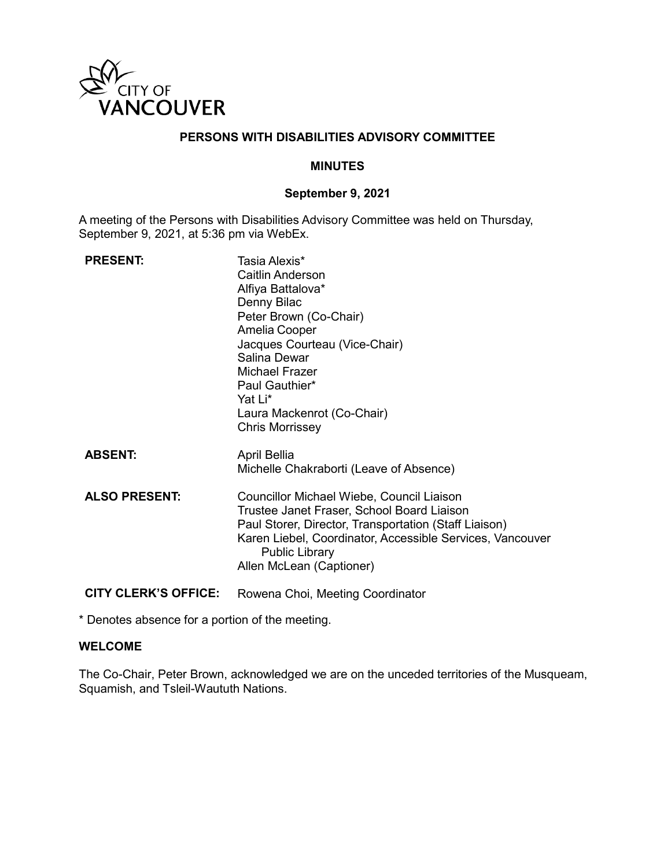

# **PERSONS WITH DISABILITIES ADVISORY COMMITTEE**

### **MINUTES**

### **September 9, 2021**

A meeting of the Persons with Disabilities Advisory Committee was held on Thursday, September 9, 2021, at 5:36 pm via WebEx.

| <b>PRESENT:</b>             | Tasia Alexis*<br>Caitlin Anderson<br>Alfiya Battalova*<br>Denny Bilac<br>Peter Brown (Co-Chair)<br>Amelia Cooper<br>Jacques Courteau (Vice-Chair)<br>Salina Dewar<br>Michael Frazer<br>Paul Gauthier*<br>Yat Li*<br>Laura Mackenrot (Co-Chair)<br><b>Chris Morrissey</b> |
|-----------------------------|--------------------------------------------------------------------------------------------------------------------------------------------------------------------------------------------------------------------------------------------------------------------------|
| <b>ABSENT:</b>              | April Bellia<br>Michelle Chakraborti (Leave of Absence)                                                                                                                                                                                                                  |
| <b>ALSO PRESENT:</b>        | Councillor Michael Wiebe, Council Liaison<br>Trustee Janet Fraser, School Board Liaison<br>Paul Storer, Director, Transportation (Staff Liaison)<br>Karen Liebel, Coordinator, Accessible Services, Vancouver<br><b>Public Library</b><br>Allen McLean (Captioner)       |
| <b>CITY CLERK'S OFFICE:</b> | Rowena Choi, Meeting Coordinator                                                                                                                                                                                                                                         |

\* Denotes absence for a portion of the meeting.

### **WELCOME**

The Co-Chair, Peter Brown, acknowledged we are on the unceded territories of the Musqueam, Squamish, and Tsleil-Waututh Nations.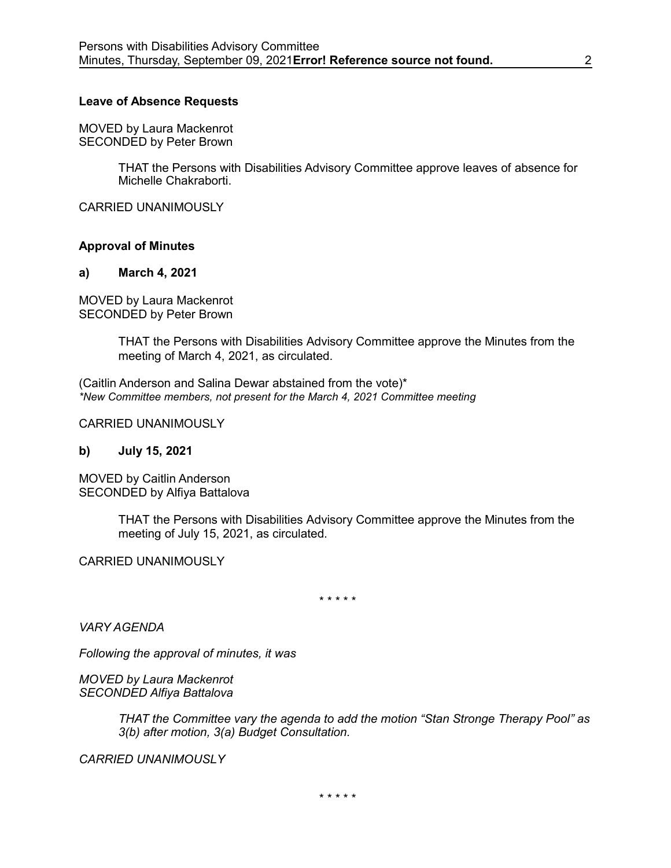#### **Leave of Absence Requests**

MOVED by Laura Mackenrot SECONDED by Peter Brown

> THAT the Persons with Disabilities Advisory Committee approve leaves of absence for Michelle Chakraborti.

CARRIED UNANIMOUSLY

### **Approval of Minutes**

#### **a) March 4, 2021**

MOVED by Laura Mackenrot SECONDED by Peter Brown

> THAT the Persons with Disabilities Advisory Committee approve the Minutes from the meeting of March 4, 2021, as circulated.

(Caitlin Anderson and Salina Dewar abstained from the vote)\* *\*New Committee members, not present for the March 4, 2021 Committee meeting*

CARRIED UNANIMOUSLY

#### **b) July 15, 2021**

MOVED by Caitlin Anderson SECONDED by Alfiya Battalova

> THAT the Persons with Disabilities Advisory Committee approve the Minutes from the meeting of July 15, 2021, as circulated.

CARRIED UNANIMOUSLY

\* \* \* \* \*

*VARY AGENDA*

*Following the approval of minutes, it was*

*MOVED by Laura Mackenrot SECONDED Alfiya Battalova*

> *THAT the Committee vary the agenda to add the motion "Stan Stronge Therapy Pool" as 3(b) after motion, 3(a) Budget Consultation.*

*CARRIED UNANIMOUSLY*

\* \* \* \* \*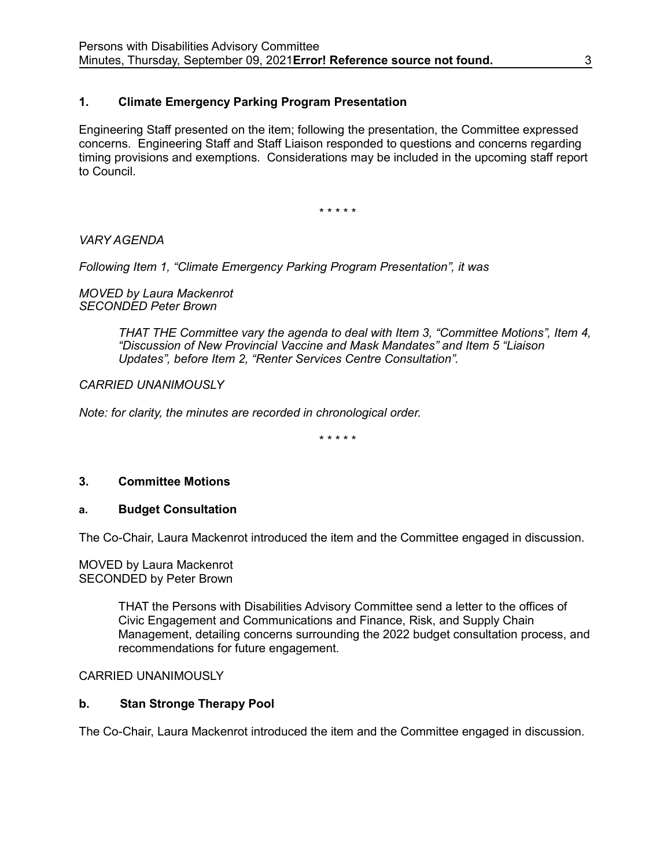# **1. Climate Emergency Parking Program Presentation**

Engineering Staff presented on the item; following the presentation, the Committee expressed concerns. Engineering Staff and Staff Liaison responded to questions and concerns regarding timing provisions and exemptions. Considerations may be included in the upcoming staff report to Council.

\* \* \* \* \*

*VARY AGENDA*

*Following Item 1, "Climate Emergency Parking Program Presentation", it was* 

*MOVED by Laura Mackenrot SECONDED Peter Brown*

> *THAT THE Committee vary the agenda to deal with Item 3, "Committee Motions", Item 4, "Discussion of New Provincial Vaccine and Mask Mandates" and Item 5 "Liaison Updates", before Item 2, "Renter Services Centre Consultation".*

*CARRIED UNANIMOUSLY*

*Note: for clarity, the minutes are recorded in chronological order.*

\* \* \* \* \*

# **3. Committee Motions**

### **a. Budget Consultation**

The Co-Chair, Laura Mackenrot introduced the item and the Committee engaged in discussion.

MOVED by Laura Mackenrot SECONDED by Peter Brown

> THAT the Persons with Disabilities Advisory Committee send a letter to the offices of Civic Engagement and Communications and Finance, Risk, and Supply Chain Management, detailing concerns surrounding the 2022 budget consultation process, and recommendations for future engagement.

### CARRIED UNANIMOUSLY

# **b. Stan Stronge Therapy Pool**

The Co-Chair, Laura Mackenrot introduced the item and the Committee engaged in discussion.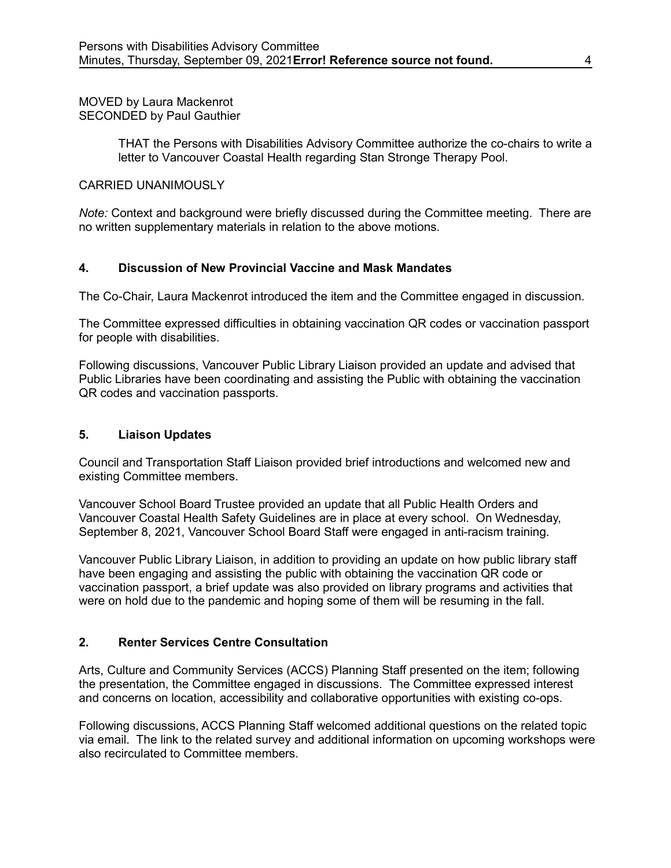MOVED by Laura Mackenrot SECONDED by Paul Gauthier

> THAT the Persons with Disabilities Advisory Committee authorize the co-chairs to write a letter to Vancouver Coastal Health regarding Stan Stronge Therapy Pool.

### CARRIED UNANIMOUSLY

*Note:* Context and background were briefly discussed during the Committee meeting. There are no written supplementary materials in relation to the above motions.

# **4. Discussion of New Provincial Vaccine and Mask Mandates**

The Co-Chair, Laura Mackenrot introduced the item and the Committee engaged in discussion.

The Committee expressed difficulties in obtaining vaccination QR codes or vaccination passport for people with disabilities.

Following discussions, Vancouver Public Library Liaison provided an update and advised that Public Libraries have been coordinating and assisting the Public with obtaining the vaccination QR codes and vaccination passports.

### **5. Liaison Updates**

Council and Transportation Staff Liaison provided brief introductions and welcomed new and existing Committee members.

Vancouver School Board Trustee provided an update that all Public Health Orders and Vancouver Coastal Health Safety Guidelines are in place at every school. On Wednesday, September 8, 2021, Vancouver School Board Staff were engaged in anti-racism training.

Vancouver Public Library Liaison, in addition to providing an update on how public library staff have been engaging and assisting the public with obtaining the vaccination QR code or vaccination passport, a brief update was also provided on library programs and activities that were on hold due to the pandemic and hoping some of them will be resuming in the fall.

# **2. Renter Services Centre Consultation**

Arts, Culture and Community Services (ACCS) Planning Staff presented on the item; following the presentation, the Committee engaged in discussions. The Committee expressed interest and concerns on location, accessibility and collaborative opportunities with existing co-ops.

Following discussions, ACCS Planning Staff welcomed additional questions on the related topic via email. The link to the related survey and additional information on upcoming workshops were also recirculated to Committee members.